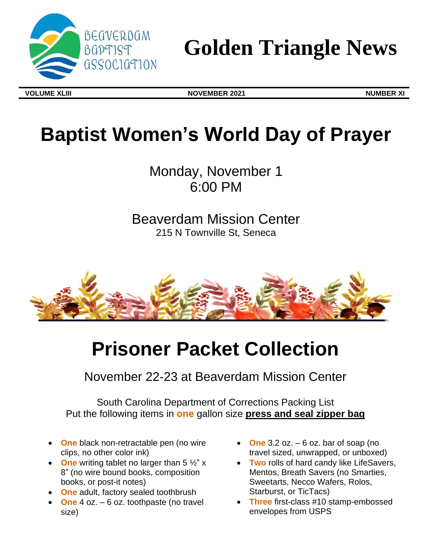

# **Golden Triangle News**

**VOLUME XLIII NOVEMBER 2021 NUMBER XI**

# **Baptist Women's World Day of Prayer**

Monday, November 1 6:00 PM

Beaverdam Mission Center 215 N Townville St, Seneca



# **Prisoner Packet Collection**

November 22-23 at Beaverdam Mission Center

South Carolina Department of Corrections Packing List Put the following items in **one** gallon size **press and seal zipper bag**

- **One** black non-retractable pen (no wire clips, no other color ink)
- One writing tablet no larger than 5  $\frac{1}{2}$ " x 8" (no wire bound books, composition books, or post-it notes)
- **One** adult, factory sealed toothbrush
- **One** 4 oz. 6 oz. toothpaste (no travel size)
- **One** 3.2 oz.  $-6$  oz. bar of soap (no travel sized, unwrapped, or unboxed)
- **Two** rolls of hard candy like LifeSavers, Mentos, Breath Savers (no Smarties, Sweetarts, Necco Wafers, Rolos, Starburst, or TicTacs)
- **Three** first-class #10 stamp-embossed envelopes from USPS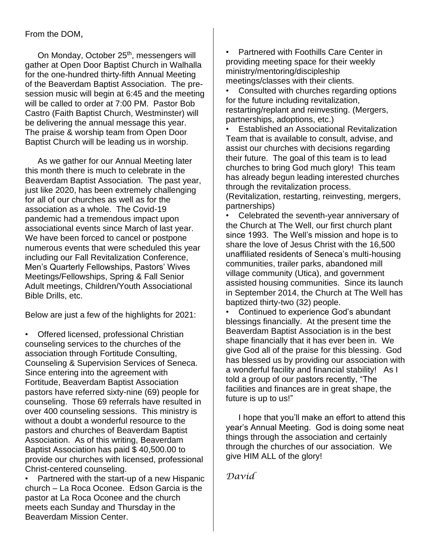From the DOM,

On Monday, October 25<sup>th</sup>, messengers will gather at Open Door Baptist Church in Walhalla for the one-hundred thirty-fifth Annual Meeting of the Beaverdam Baptist Association. The presession music will begin at 6:45 and the meeting will be called to order at 7:00 PM. Pastor Bob Castro (Faith Baptist Church, Westminster) will be delivering the annual message this year. The praise & worship team from Open Door Baptist Church will be leading us in worship.

As we gather for our Annual Meeting later this month there is much to celebrate in the Beaverdam Baptist Association. The past year, just like 2020, has been extremely challenging for all of our churches as well as for the association as a whole. The Covid-19 pandemic had a tremendous impact upon associational events since March of last year. We have been forced to cancel or postpone numerous events that were scheduled this year including our Fall Revitalization Conference, Men's Quarterly Fellowships, Pastors' Wives Meetings/Fellowships, Spring & Fall Senior Adult meetings, Children/Youth Associational Bible Drills, etc.

Below are just a few of the highlights for 2021:

• Offered licensed, professional Christian counseling services to the churches of the association through Fortitude Consulting, Counseling & Supervision Services of Seneca. Since entering into the agreement with Fortitude, Beaverdam Baptist Association pastors have referred sixty-nine (69) people for counseling. Those 69 referrals have resulted in over 400 counseling sessions. This ministry is without a doubt a wonderful resource to the pastors and churches of Beaverdam Baptist Association. As of this writing, Beaverdam Baptist Association has paid \$ 40,500.00 to provide our churches with licensed, professional Christ-centered counseling.

• Partnered with the start-up of a new Hispanic church – La Roca Oconee. Edson Garcia is the pastor at La Roca Oconee and the church meets each Sunday and Thursday in the Beaverdam Mission Center.

• Partnered with Foothills Care Center in providing meeting space for their weekly ministry/mentoring/discipleship meetings/classes with their clients.

• Consulted with churches regarding options for the future including revitalization, restarting/replant and reinvesting. (Mergers, partnerships, adoptions, etc.)

• Established an Associational Revitalization Team that is available to consult, advise, and assist our churches with decisions regarding their future. The goal of this team is to lead churches to bring God much glory! This team has already begun leading interested churches through the revitalization process.

(Revitalization, restarting, reinvesting, mergers, partnerships)

• Celebrated the seventh-year anniversary of the Church at The Well, our first church plant since 1993. The Well's mission and hope is to share the love of Jesus Christ with the 16,500 unaffiliated residents of Seneca's multi-housing communities, trailer parks, abandoned mill village community (Utica), and government assisted housing communities. Since its launch in September 2014, the Church at The Well has baptized thirty-two (32) people.

• Continued to experience God's abundant blessings financially. At the present time the Beaverdam Baptist Association is in the best shape financially that it has ever been in. We give God all of the praise for this blessing. God has blessed us by providing our association with a wonderful facility and financial stability! As I told a group of our pastors recently, "The facilities and finances are in great shape, the future is up to us!"

I hope that you'll make an effort to attend this year's Annual Meeting. God is doing some neat things through the association and certainly through the churches of our association. We give HIM ALL of the glory!

*David*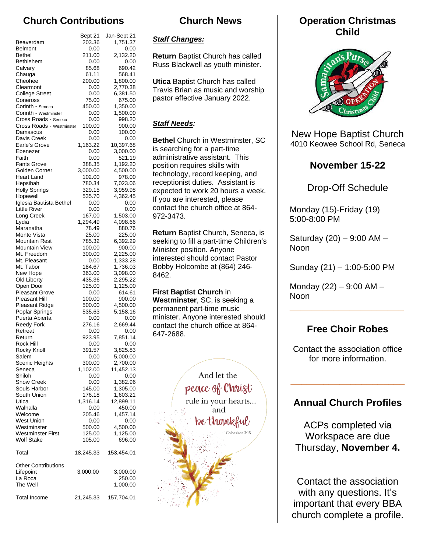# **Church Contributions**

|                                                | Sept 21            | Jan-Sept 21           |
|------------------------------------------------|--------------------|-----------------------|
| Beaverdam                                      | 203.36             | 1,751.37              |
| <b>Belmont</b>                                 | 0.00               | 0.00                  |
| Bethel                                         | 211.00             | 2,132.20              |
| Bethlehem                                      | 0.00               | 0.00                  |
| Calvary<br>Chauga                              | 85.68<br>61.11     | 690.42<br>568.41      |
| Cheohee                                        | 200.00             | 1,800.00              |
| Clearmont                                      | 0.00               | 2,770.38              |
| <b>College Street</b>                          | 0.00               | 6,381.50              |
| Coneross                                       | 75.00              | 675.00                |
| Corinth - <sub>Seneca</sub>                    | 450.00             | 1,350.00              |
| Corinth - Westminster<br>Cross Roads - Seneca  | 0.00<br>0.00       | 1,500.00<br>998.20    |
| Cross Roads - Westminster                      | 100.00             | 900.00                |
| Damascus                                       | 0.00               | 100.00                |
| Davis Creek                                    | 0.00               | 0.00                  |
| Earle's Grove                                  | 1,163.22           | 10,397.68             |
| Ebenezer                                       | 0.00               | 3,000.00              |
| Faith<br><b>Fants Grove</b>                    | 0.00<br>388.35     | 521.19<br>1,192.20    |
| Golden Corner                                  | 3,000.00           | 4,500.00              |
| <b>Heart Land</b>                              | 102.00             | 978.00                |
| Hepsibah                                       | 780.34             | 7,023.06              |
| <b>Holly Springs</b>                           | 329.15             | 3,959.98              |
| Hopewell                                       | 535.70             | 4,362.45              |
| Iglesia Bautista Bethel<br><b>Little River</b> | 0.00<br>0.00       | 0.00<br>0.00          |
| Long Creek                                     | 167.00             | 1,503.00              |
| Lydia                                          | 1,294.49           | 4,098.66              |
| Maranatha                                      | 78.49              | 880.76                |
| Monte Vista                                    | 25.00              | 225.00                |
| Mountain Rest                                  | 785.32             | 6,392.29              |
| <b>Mountain View</b>                           | 100.00             | 900.00                |
| Mt. Freedom<br>Mt. Pleasant                    | 300.00<br>0.00     | 2,225.00<br>1,333.28  |
| Mt. Tabor                                      | 184.67             | 1,736.03              |
| New Hope                                       | 363.00             | 3,098.00              |
| Old Liberty                                    | 435.36             | 2,295.22              |
| Open Door                                      | 125.00             | 1,125.00              |
| <b>Pleasant Grove</b>                          | 0.00               | 614.61                |
| <b>Pleasant Hill</b><br>Pleasant Ridge         | 100.00<br>500.00   | 900.00<br>4,500.00    |
| Poplar Springs                                 | 535.63             | 5,158.16              |
| Puerta Abierta                                 | 0.00               | 0.00                  |
| <b>Reedy Fork</b>                              | 276.16             | 2,669.44              |
| Retreat                                        | 0.00               | 0.00                  |
| Return                                         | 923.95             | 7,851.14              |
| Rock Hill                                      | 0.00<br>391.57     | 0.00                  |
| Rocky Knoll<br>Salem                           | 0.00               | 3,825.83<br>5,000.00  |
| <b>Scenic Heights</b>                          | 300.00             | 2,700.00              |
| Seneca                                         | 1,102.00           | 11,452.13             |
| Shiloh                                         | 0.00               | 0.00                  |
| <b>Snow Creek</b>                              | 0.00               | 1,382.96              |
| Souls Harbor                                   | 145.00             | 1,305.00              |
| South Union<br>Utica                           | 176.18<br>1,316.14 | 1,603.21<br>12,899.11 |
| Walhalla                                       | 0.00               | 450.00                |
| Welcome                                        | 205.46             | 1,457.14              |
| West Union                                     | 0.00               | 0.00                  |
| Westminster                                    | 500.00             | 4,500.00              |
| <b>Westminster First</b>                       | 125.00             | 1,125.00              |
| <b>Wolf Stake</b>                              | 105.00             | 696.00                |
| Total                                          | 18,245.33          | 153,454.01            |
| <b>Other Contributions</b>                     |                    |                       |
| Lifepoint                                      | 3,000.00           | 3,000.00              |
| La Roca                                        |                    | 250.00                |
| The Well                                       |                    | 1,000.00              |
| <b>Total Income</b>                            | 21,245.33          | 157,704.01            |
|                                                |                    |                       |

### **Church News**

#### *Staff Changes:*

**Return** Baptist Church has called Russ Blackwell as youth minister.

**Utica** Baptist Church has called Travis Brian as music and worship pastor effective January 2022.

#### *Staff Needs:*

**Bethel** Church in Westminster, SC is searching for a part-time administrative assistant. This position requires skills with technology, record keeping, and receptionist duties. Assistant is expected to work 20 hours a week. If you are interested, please contact the church office at 864- 972-3473.

**Return** Baptist Church, Seneca, is seeking to fill a part-time Children's Minister position. Anyone interested should contact Pastor Bobby Holcombe at (864) 246- 8462.

**First Baptist Church** in **Westminster**, SC, is seeking a permanent part-time music minister. Anyone interested should contact the church office at 864- 647-2688.



### **Operation Christmas Child**



New Hope Baptist Church 4010 Keowee School Rd, Seneca

## **November 15-22**

Drop-Off Schedule

Monday (15)-Friday (19) 5:00-8:00 PM

Saturday (20) – 9:00 AM – Noon

Sunday (21) – 1:00-5:00 PM

Monday  $(22) - 9:00$  AM  $-$ Noon

## **Free Choir Robes**

**\_\_\_\_\_\_\_\_\_\_\_\_\_\_\_\_\_\_\_\_\_**

Contact the association office for more information.

## **Annual Church Profiles**

**\_\_\_\_\_\_\_\_\_\_\_\_\_\_\_\_\_\_\_\_\_**

ACPs completed via Workspace are due Thursday, **November 4.** 

Contact the association with any questions. It's important that every BBA church complete a profile.